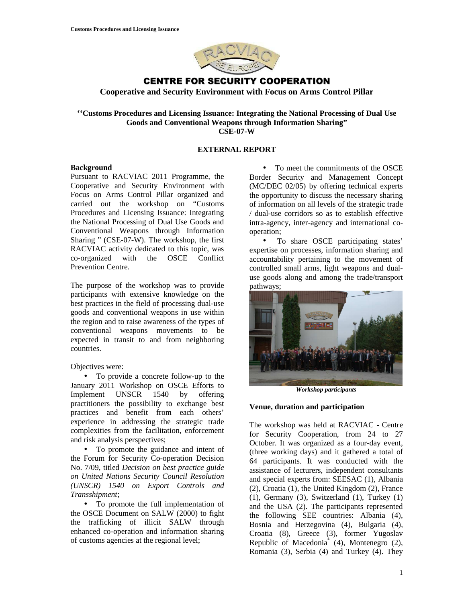

# CENTRE FOR SECURITY COOPERATION

**Cooperative and Security Environment with Focus on Arms Control Pillar** 

#### **''Customs Procedures and Licensing Issuance: Integrating the National Processing of Dual Use Goods and Conventional Weapons through Information Sharing" CSE-07-W**

## **EXTERNAL REPORT**

### **Background**

Pursuant to RACVIAC 2011 Programme, the Cooperative and Security Environment with Focus on Arms Control Pillar organized and carried out the workshop on "Customs Procedures and Licensing Issuance: Integrating the National Processing of Dual Use Goods and Conventional Weapons through Information Sharing " (CSE-07-W). The workshop, the first RACVIAC activity dedicated to this topic, was co-organized with the OSCE Conflict Prevention Centre.

The purpose of the workshop was to provide participants with extensive knowledge on the best practices in the field of processing dual-use goods and conventional weapons in use within the region and to raise awareness of the types of conventional weapons movements to be expected in transit to and from neighboring countries.

### Objectives were:

• To provide a concrete follow-up to the January 2011 Workshop on OSCE Efforts to Implement UNSCR 1540 by offering practitioners the possibility to exchange best practices and benefit from each others' experience in addressing the strategic trade complexities from the facilitation, enforcement and risk analysis perspectives;

• To promote the guidance and intent of the Forum for Security Co-operation Decision No. 7/09, titled *Decision on best practice guide on United Nations Security Council Resolution (UNSCR) 1540 on Export Controls and Transshipment*;

• To promote the full implementation of the OSCE Document on SALW (2000) to fight the trafficking of illicit SALW through enhanced co-operation and information sharing of customs agencies at the regional level;

• To meet the commitments of the OSCE Border Security and Management Concept (MC/DEC 02/05) by offering technical experts the opportunity to discuss the necessary sharing of information on all levels of the strategic trade / dual-use corridors so as to establish effective intra-agency, inter-agency and international cooperation;

• To share OSCE participating states' expertise on processes, information sharing and accountability pertaining to the movement of controlled small arms, light weapons and dualuse goods along and among the trade/transport pathways;



*Workshop participants*

### **Venue, duration and participation**

The workshop was held at RACVIAC - Centre for Security Cooperation, from 24 to 27 October. It was organized as a four-day event, (three working days) and it gathered a total of 64 participants. It was conducted with the assistance of lecturers, independent consultants and special experts from: SEESAC (1), Albania (2), Croatia (1), the United Kingdom (2), France (1), Germany (3), Switzerland (1), Turkey (1) and the USA (2). The participants represented the following SEE countries: Albania (4), Bosnia and Herzegovina (4), Bulgaria (4), Croatia (8), Greece (3), former Yugoslav Republic of Macedonia\* (4), Montenegro (2), Romania (3), Serbia (4) and Turkey (4). They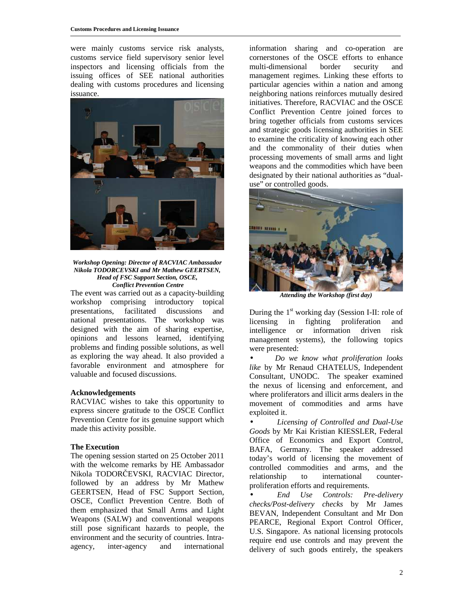were mainly customs service risk analysts, customs service field supervisory senior level inspectors and licensing officials from the issuing offices of SEE national authorities dealing with customs procedures and licensing issuance.



*Workshop Opening: Director of RACVIAC Ambassador Nikola TODORCEVSKI and Mr Mathew GEERTSEN, Head of FSC Support Section, OSCE, Conflict Prevention Centre*

The event was carried out as a capacity-building workshop comprising introductory topical presentations, facilitated discussions and national presentations. The workshop was designed with the aim of sharing expertise, opinions and lessons learned, identifying problems and finding possible solutions, as well as exploring the way ahead. It also provided a favorable environment and atmosphere for valuable and focused discussions.

### **Acknowledgements**

RACVIAC wishes to take this opportunity to express sincere gratitude to the OSCE Conflict Prevention Centre for its genuine support which made this activity possible.

### **The Execution**

The opening session started on 25 October 2011 with the welcome remarks by HE Ambassador Nikola TODORČEVSKI, RACVIAC Director, followed by an address by Mr Mathew GEERTSEN, Head of FSC Support Section, OSCE, Conflict Prevention Centre. Both of them emphasized that Small Arms and Light Weapons (SALW) and conventional weapons still pose significant hazards to people, the environment and the security of countries. Intraagency, inter-agency and international information sharing and co-operation are cornerstones of the OSCE efforts to enhance multi-dimensional border security and management regimes. Linking these efforts to particular agencies within a nation and among neighboring nations reinforces mutually desired initiatives. Therefore, RACVIAC and the OSCE Conflict Prevention Centre joined forces to bring together officials from customs services and strategic goods licensing authorities in SEE to examine the criticality of knowing each other and the commonality of their duties when processing movements of small arms and light weapons and the commodities which have been designated by their national authorities as "dualuse" or controlled goods.



*Attending the Workshop (first day)* 

During the  $1<sup>st</sup>$  working day (Session I-II: role of licensing in fighting proliferation and intelligence or information driven risk management systems), the following topics were presented:

• *Do we know what proliferation looks like* by Mr Renaud CHATELUS, Independent Consultant, UNODC. The speaker examined the nexus of licensing and enforcement, and where proliferators and illicit arms dealers in the movement of commodities and arms have exploited it.

• *Licensing of Controlled and Dual-Use Goods* by Mr Kai Kristian KIESSLER, Federal Office of Economics and Export Control, BAFA, Germany. The speaker addressed today's world of licensing the movement of controlled commodities and arms, and the relationship to international counterproliferation efforts and requirements.

• *End Use Controls: Pre-delivery checks/Post-delivery checks* by Mr James BEVAN, Independent Consultant and Mr Don PEARCE, Regional Export Control Officer, U.S. Singapore. As national licensing protocols require end use controls and may prevent the delivery of such goods entirely, the speakers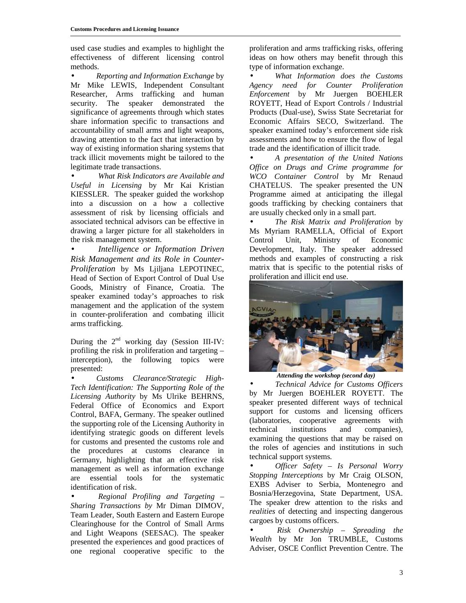used case studies and examples to highlight the effectiveness of different licensing control methods.

• *Reporting and Information Exchange* by Mr Mike LEWIS, Independent Consultant Researcher, Arms trafficking and human security. The speaker demonstrated the significance of agreements through which states share information specific to transactions and accountability of small arms and light weapons, drawing attention to the fact that interaction by way of existing information sharing systems that track illicit movements might be tailored to the legitimate trade transactions.

• *What Risk Indicators are Available and Useful in Licensing* by Mr Kai Kristian KIESSLER. The speaker guided the workshop into a discussion on a how a collective assessment of risk by licensing officials and associated technical advisors can be effective in drawing a larger picture for all stakeholders in the risk management system.

• *Intelligence or Information Driven Risk Management and its Role in Counter-Proliferation* by Ms Ljiljana LEPOTINEC, Head of Section of Export Control of Dual Use Goods, Ministry of Finance, Croatia. The speaker examined today's approaches to risk management and the application of the system in counter-proliferation and combating illicit arms trafficking.

During the  $2<sup>nd</sup>$  working day (Session III-IV: profiling the risk in proliferation and targeting – interception), the following topics were presented:

• *Customs Clearance/Strategic High-Tech Identification: The Supporting Role of the Licensing Authority* by Ms Ulrike BEHRNS, Federal Office of Economics and Export Control, BAFA, Germany. The speaker outlined the supporting role of the Licensing Authority in identifying strategic goods on different levels for customs and presented the customs role and the procedures at customs clearance in Germany, highlighting that an effective risk management as well as information exchange are essential tools for the systematic identification of risk.

• *Regional Profiling and Targeting* – *Sharing Transactions by* Mr Diman DIMOV, Team Leader, South Eastern and Eastern Europe Clearinghouse for the Control of Small Arms and Light Weapons (SEESAC). The speaker presented the experiences and good practices of one regional cooperative specific to the

proliferation and arms trafficking risks, offering ideas on how others may benefit through this type of information exchange.

• *What Information does the Customs Agency need for Counter Proliferation Enforcement* by Mr Juergen BOEHLER ROYETT, Head of Export Controls / Industrial Products (Dual-use), Swiss State Secretariat for Economic Affairs SECO, Switzerland. The speaker examined today's enforcement side risk assessments and how to ensure the flow of legal trade and the identification of illicit trade.

• *A presentation of the United Nations Office on Drugs and Crime programme for WCO Container Control* by Mr Renaud CHATELUS. The speaker presented the UN Programme aimed at anticipating the illegal goods trafficking by checking containers that are usually checked only in a small part.

• *The Risk Matrix and Proliferation* by Ms Myriam RAMELLA, Official of Export Control Unit, Ministry of Economic Development, Italy. The speaker addressed methods and examples of constructing a risk matrix that is specific to the potential risks of proliferation and illicit end use.



*Attending the workshop (second day)*

• *Technical Advice for Customs Officers*  by Mr Juergen BOEHLER ROYETT. The speaker presented different ways of technical support for customs and licensing officers (laboratories, cooperative agreements with technical institutions and companies), examining the questions that may be raised on the roles of agencies and institutions in such technical support systems*.* 

• *Officer Safety – Is Personal Worry Stopping Interceptions* by Mr Craig OLSON, EXBS Adviser to Serbia, Montenegro and Bosnia/Herzegovina, State Department, USA. The speaker drew attention to the risks and *realities* of detecting and inspecting dangerous cargoes by customs officers.

• *Risk Ownership – Spreading the Wealth* by Mr Jon TRUMBLE, Customs Adviser, OSCE Conflict Prevention Centre. The